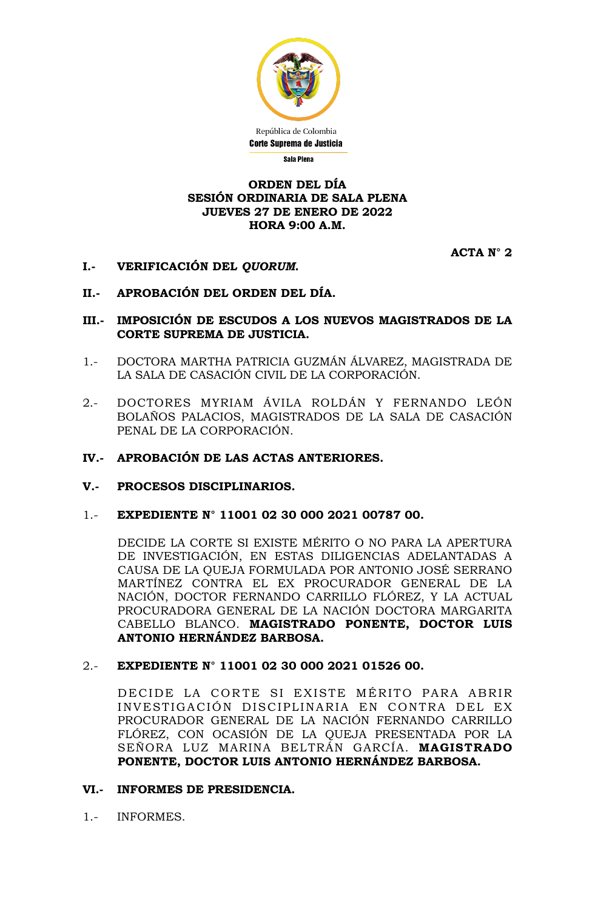

# **ORDEN DEL DÍA SESIÓN ORDINARIA DE SALA PLENA JUEVES 27 DE ENERO DE 2022 HORA 9:00 A.M.**

**ACTA N° 2**

- **I.- VERIFICACIÓN DEL** *QUORUM***.**
- **II.- APROBACIÓN DEL ORDEN DEL DÍA.**
- **III.- IMPOSICIÓN DE ESCUDOS A LOS NUEVOS MAGISTRADOS DE LA CORTE SUPREMA DE JUSTICIA.**
- 1.- DOCTORA MARTHA PATRICIA GUZMÁN ÁLVAREZ, MAGISTRADA DE LA SALA DE CASACIÓN CIVIL DE LA CORPORACIÓN.
- 2.- DOCTORES MYRIAM ÁVILA ROLDÁN Y FERNANDO LEÓN BOLAÑOS PALACIOS, MAGISTRADOS DE LA SALA DE CASACIÓN PENAL DE LA CORPORACIÓN.
- **IV.- APROBACIÓN DE LAS ACTAS ANTERIORES.**
- **V.- PROCESOS DISCIPLINARIOS.**
- 1.- **EXPEDIENTE N° 11001 02 30 000 2021 00787 00.**

DECIDE LA CORTE SI EXISTE MÉRITO O NO PARA LA APERTURA DE INVESTIGACIÓN, EN ESTAS DILIGENCIAS ADELANTADAS A CAUSA DE LA QUEJA FORMULADA POR ANTONIO JOSÉ SERRANO MARTÍNEZ CONTRA EL EX PROCURADOR GENERAL DE LA NACIÓN, DOCTOR FERNANDO CARRILLO FLÓREZ, Y LA ACTUAL PROCURADORA GENERAL DE LA NACIÓN DOCTORA MARGARITA CABELLO BLANCO. **MAGISTRADO PONENTE, DOCTOR LUIS ANTONIO HERNÁNDEZ BARBOSA.**

2.- **EXPEDIENTE N° 11001 02 30 000 2021 01526 00.**

DECIDE LA CORTE SI EXISTE MÉRITO PARA ABRIR INVESTIGACIÓN DISCIPLINARIA EN CONTRA DEL EX PROCURADOR GENERAL DE LA NACIÓN FERNANDO CARRILLO FLÓREZ, CON OCASIÓN DE LA QUEJA PRESENTADA POR LA SEÑORA LUZ MARINA BELTRÁN GARCÍA. **MAGISTRADO PONENTE, DOCTOR LUIS ANTONIO HERNÁNDEZ BARBOSA.**

## **VI.- INFORMES DE PRESIDENCIA.**

1.- INFORMES.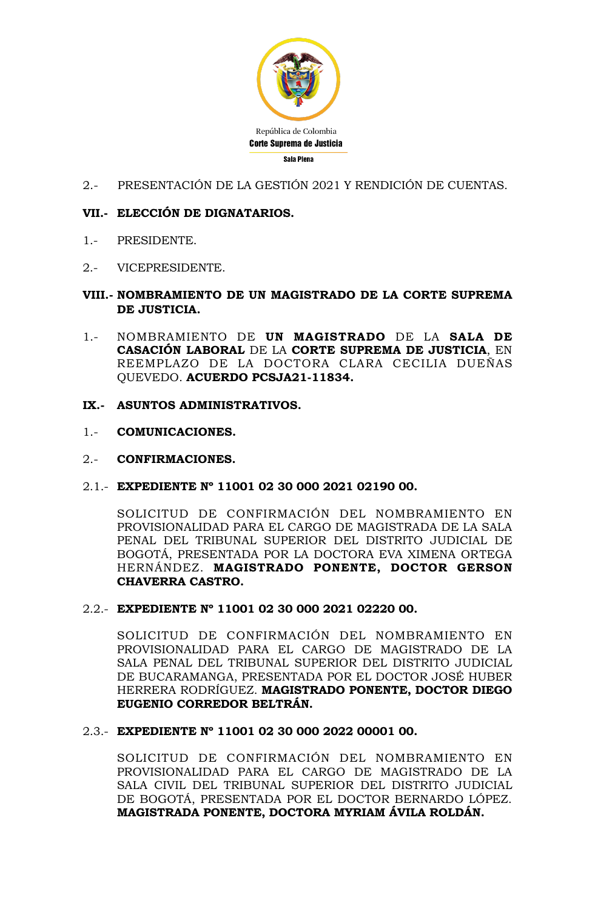

2.- PRESENTACIÓN DE LA GESTIÓN 2021 Y RENDICIÓN DE CUENTAS.

# **VII.- ELECCIÓN DE DIGNATARIOS.**

- 1.- PRESIDENTE.
- 2.- VICEPRESIDENTE.

# **VIII.- NOMBRAMIENTO DE UN MAGISTRADO DE LA CORTE SUPREMA DE JUSTICIA.**

1.- NOMBRAMIENTO DE **UN MAGISTRADO** DE LA **SALA DE CASACIÓN LABORAL** DE LA **CORTE SUPREMA DE JUSTICIA**, EN REEMPLAZO DE LA DOCTORA CLARA CECILIA DUEÑAS QUEVEDO. **ACUERDO PCSJA21-11834.**

# **IX.- ASUNTOS ADMINISTRATIVOS.**

1.- **COMUNICACIONES.**

## 2.- **CONFIRMACIONES.**

2.1.- **EXPEDIENTE Nº 11001 02 30 000 2021 02190 00.**

SOLICITUD DE CONFIRMACIÓN DEL NOMBRAMIENTO EN PROVISIONALIDAD PARA EL CARGO DE MAGISTRADA DE LA SALA PENAL DEL TRIBUNAL SUPERIOR DEL DISTRITO JUDICIAL DE BOGOTÁ, PRESENTADA POR LA DOCTORA EVA XIMENA ORTEGA HERNÁNDEZ. **MAGISTRADO PONENTE, DOCTOR GERSON CHAVERRA CASTRO.**

2.2.- **EXPEDIENTE Nº 11001 02 30 000 2021 02220 00.**

SOLICITUD DE CONFIRMACIÓN DEL NOMBRAMIENTO EN PROVISIONALIDAD PARA EL CARGO DE MAGISTRADO DE LA SALA PENAL DEL TRIBUNAL SUPERIOR DEL DISTRITO JUDICIAL DE BUCARAMANGA, PRESENTADA POR EL DOCTOR JOSÉ HUBER HERRERA RODRÍGUEZ. **MAGISTRADO PONENTE, DOCTOR DIEGO EUGENIO CORREDOR BELTRÁN.**

## 2.3.- **EXPEDIENTE Nº 11001 02 30 000 2022 00001 00.**

SOLICITUD DE CONFIRMACIÓN DEL NOMBRAMIENTO EN PROVISIONALIDAD PARA EL CARGO DE MAGISTRADO DE LA SALA CIVIL DEL TRIBUNAL SUPERIOR DEL DISTRITO JUDICIAL DE BOGOTÁ, PRESENTADA POR EL DOCTOR BERNARDO LÓPEZ. **MAGISTRADA PONENTE, DOCTORA MYRIAM ÁVILA ROLDÁN.**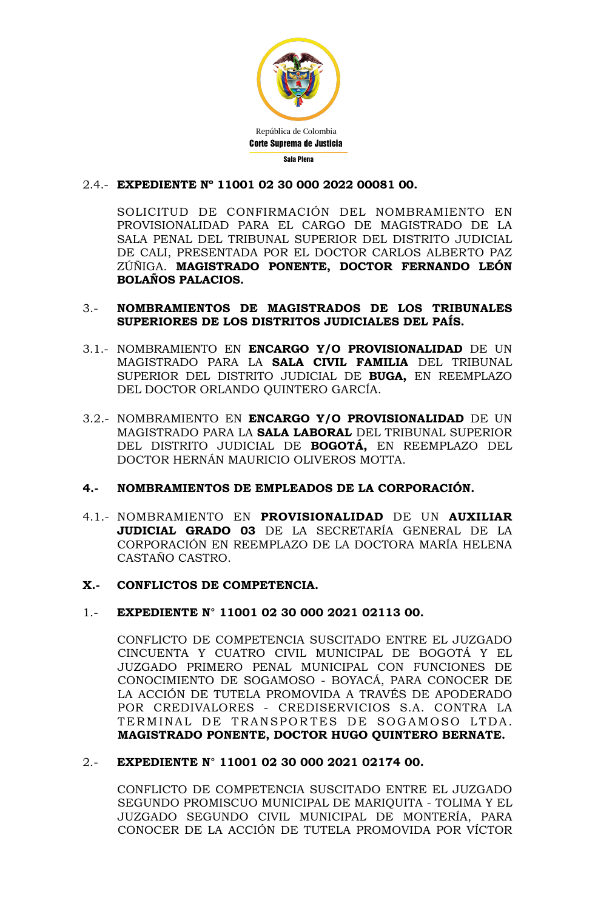

# 2.4.- **EXPEDIENTE Nº 11001 02 30 000 2022 00081 00.**

SOLICITUD DE CONFIRMACIÓN DEL NOMBRAMIENTO EN PROVISIONALIDAD PARA EL CARGO DE MAGISTRADO DE LA SALA PENAL DEL TRIBUNAL SUPERIOR DEL DISTRITO JUDICIAL DE CALI, PRESENTADA POR EL DOCTOR CARLOS ALBERTO PAZ ZÚÑIGA. **MAGISTRADO PONENTE, DOCTOR FERNANDO LEÓN BOLAÑOS PALACIOS.**

## 3.- **NOMBRAMIENTOS DE MAGISTRADOS DE LOS TRIBUNALES SUPERIORES DE LOS DISTRITOS JUDICIALES DEL PAÍS.**

- 3.1.- NOMBRAMIENTO EN **ENCARGO Y/O PROVISIONALIDAD** DE UN MAGISTRADO PARA LA **SALA CIVIL FAMILIA** DEL TRIBUNAL SUPERIOR DEL DISTRITO JUDICIAL DE **BUGA,** EN REEMPLAZO DEL DOCTOR ORLANDO QUINTERO GARCÍA.
- 3.2.- NOMBRAMIENTO EN **ENCARGO Y/O PROVISIONALIDAD** DE UN MAGISTRADO PARA LA **SALA LABORAL** DEL TRIBUNAL SUPERIOR DEL DISTRITO JUDICIAL DE **BOGOTÁ,** EN REEMPLAZO DEL DOCTOR HERNÁN MAURICIO OLIVEROS MOTTA.

# **4.- NOMBRAMIENTOS DE EMPLEADOS DE LA CORPORACIÓN.**

4.1.- NOMBRAMIENTO EN **PROVISIONALIDAD** DE UN **AUXILIAR JUDICIAL GRADO 03** DE LA SECRETARÍA GENERAL DE LA CORPORACIÓN EN REEMPLAZO DE LA DOCTORA MARÍA HELENA CASTAÑO CASTRO.

## **X.- CONFLICTOS DE COMPETENCIA.**

## 1.- **EXPEDIENTE N° 11001 02 30 000 2021 02113 00.**

CONFLICTO DE COMPETENCIA SUSCITADO ENTRE EL JUZGADO CINCUENTA Y CUATRO CIVIL MUNICIPAL DE BOGOTÁ Y EL JUZGADO PRIMERO PENAL MUNICIPAL CON FUNCIONES DE CONOCIMIENTO DE SOGAMOSO - BOYACÁ, PARA CONOCER DE LA ACCIÓN DE TUTELA PROMOVIDA A TRAVÉS DE APODERADO POR CREDIVALORES - CREDISERVICIOS S.A. CONTRA LA TERMINAL DE TRANSPORTES DE SOGAMOSO LTDA. **MAGISTRADO PONENTE, DOCTOR HUGO QUINTERO BERNATE.**

## 2.- **EXPEDIENTE N° 11001 02 30 000 2021 02174 00.**

CONFLICTO DE COMPETENCIA SUSCITADO ENTRE EL JUZGADO SEGUNDO PROMISCUO MUNICIPAL DE MARIQUITA - TOLIMA Y EL JUZGADO SEGUNDO CIVIL MUNICIPAL DE MONTERÍA, PARA CONOCER DE LA ACCIÓN DE TUTELA PROMOVIDA POR VÍCTOR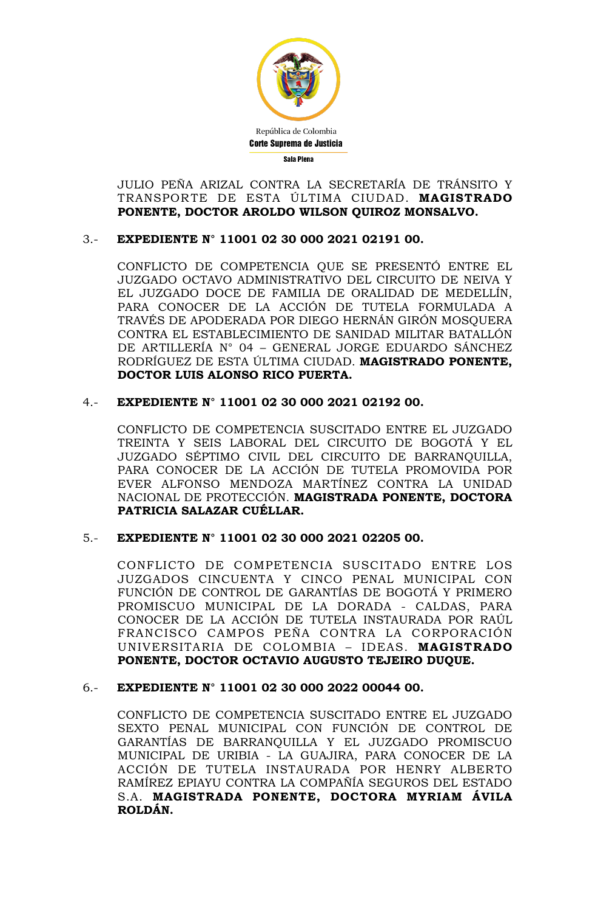

JULIO PEÑA ARIZAL CONTRA LA SECRETARÍA DE TRÁNSITO Y TRANSPORTE DE ESTA ÚLTIMA CIUDAD. **MAGISTRADO PONENTE, DOCTOR AROLDO WILSON QUIROZ MONSALVO.**

# 3.- **EXPEDIENTE N° 11001 02 30 000 2021 02191 00.**

CONFLICTO DE COMPETENCIA QUE SE PRESENTÓ ENTRE EL JUZGADO OCTAVO ADMINISTRATIVO DEL CIRCUITO DE NEIVA Y EL JUZGADO DOCE DE FAMILIA DE ORALIDAD DE MEDELLÍN, PARA CONOCER DE LA ACCIÓN DE TUTELA FORMULADA A TRAVÉS DE APODERADA POR DIEGO HERNÁN GIRÓN MOSQUERA CONTRA EL ESTABLECIMIENTO DE SANIDAD MILITAR BATALLÓN DE ARTILLERÍA N° 04 – GENERAL JORGE EDUARDO SÁNCHEZ RODRÍGUEZ DE ESTA ÚLTIMA CIUDAD. **MAGISTRADO PONENTE, DOCTOR LUIS ALONSO RICO PUERTA.**

# 4.- **EXPEDIENTE N° 11001 02 30 000 2021 02192 00.**

CONFLICTO DE COMPETENCIA SUSCITADO ENTRE EL JUZGADO TREINTA Y SEIS LABORAL DEL CIRCUITO DE BOGOTÁ Y EL JUZGADO SÉPTIMO CIVIL DEL CIRCUITO DE BARRANQUILLA, PARA CONOCER DE LA ACCIÓN DE TUTELA PROMOVIDA POR EVER ALFONSO MENDOZA MARTÍNEZ CONTRA LA UNIDAD NACIONAL DE PROTECCIÓN. **MAGISTRADA PONENTE, DOCTORA PATRICIA SALAZAR CUÉLLAR.**

# 5.- **EXPEDIENTE N° 11001 02 30 000 2021 02205 00.**

CONFLICTO DE COMPETENCIA SUSCITADO ENTRE LOS JUZGADOS CINCUENTA Y CINCO PENAL MUNICIPAL CON FUNCIÓN DE CONTROL DE GARANTÍAS DE BOGOTÁ Y PRIMERO PROMISCUO MUNICIPAL DE LA DORADA - CALDAS, PARA CONOCER DE LA ACCIÓN DE TUTELA INSTAURADA POR RAÚL FRANCISCO CAMPOS PEÑA CONTRA LA CORPORACIÓN UNIVERSITARIA DE COLOMBIA – IDEAS. **MAGISTRADO PONENTE, DOCTOR OCTAVIO AUGUSTO TEJEIRO DUQUE.**

## 6.- **EXPEDIENTE N° 11001 02 30 000 2022 00044 00.**

CONFLICTO DE COMPETENCIA SUSCITADO ENTRE EL JUZGADO SEXTO PENAL MUNICIPAL CON FUNCIÓN DE CONTROL DE GARANTÍAS DE BARRANQUILLA Y EL JUZGADO PROMISCUO MUNICIPAL DE URIBIA - LA GUAJIRA, PARA CONOCER DE LA ACCIÓN DE TUTELA INSTAURADA POR HENRY ALBERTO RAMÍREZ EPIAYU CONTRA LA COMPAÑÍA SEGUROS DEL ESTADO S.A. **MAGISTRADA PONENTE, DOCTORA MYRIAM ÁVILA ROLDÁN.**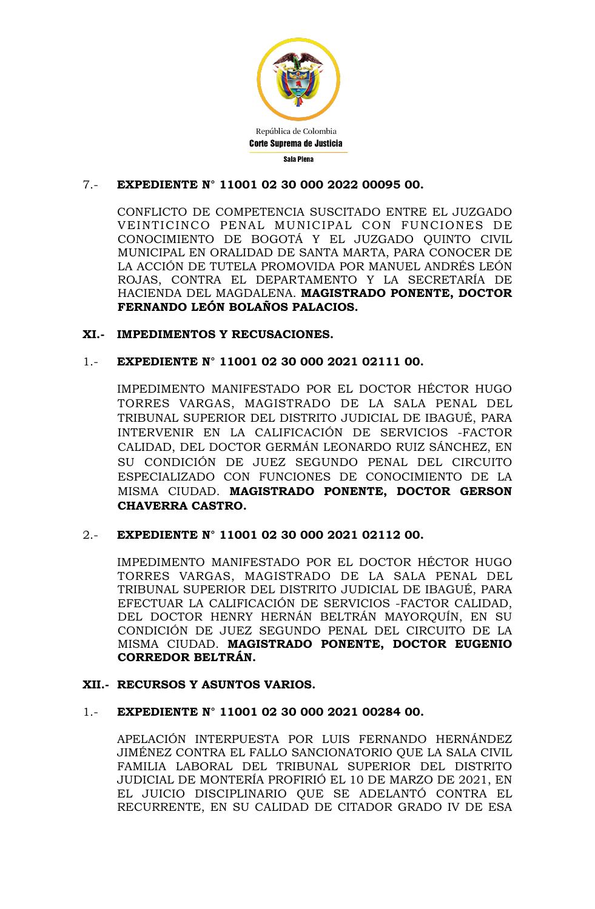

# 7.- **EXPEDIENTE N° 11001 02 30 000 2022 00095 00.**

CONFLICTO DE COMPETENCIA SUSCITADO ENTRE EL JUZGADO VEINTICINCO PENAL MUNICIPAL CON FUNCIONES DE CONOCIMIENTO DE BOGOTÁ Y EL JUZGADO QUINTO CIVIL MUNICIPAL EN ORALIDAD DE SANTA MARTA, PARA CONOCER DE LA ACCIÓN DE TUTELA PROMOVIDA POR MANUEL ANDRÉS LEÓN ROJAS, CONTRA EL DEPARTAMENTO Y LA SECRETARÍA DE HACIENDA DEL MAGDALENA. **MAGISTRADO PONENTE, DOCTOR FERNANDO LEÓN BOLAÑOS PALACIOS.**

# **XI.- IMPEDIMENTOS Y RECUSACIONES.**

# 1.- **EXPEDIENTE N° 11001 02 30 000 2021 02111 00.**

IMPEDIMENTO MANIFESTADO POR EL DOCTOR HÉCTOR HUGO TORRES VARGAS, MAGISTRADO DE LA SALA PENAL DEL TRIBUNAL SUPERIOR DEL DISTRITO JUDICIAL DE IBAGUÉ, PARA INTERVENIR EN LA CALIFICACIÓN DE SERVICIOS -FACTOR CALIDAD, DEL DOCTOR GERMÁN LEONARDO RUIZ SÁNCHEZ, EN SU CONDICIÓN DE JUEZ SEGUNDO PENAL DEL CIRCUITO ESPECIALIZADO CON FUNCIONES DE CONOCIMIENTO DE LA MISMA CIUDAD. **MAGISTRADO PONENTE, DOCTOR GERSON CHAVERRA CASTRO.**

## 2.- **EXPEDIENTE N° 11001 02 30 000 2021 02112 00.**

IMPEDIMENTO MANIFESTADO POR EL DOCTOR HÉCTOR HUGO TORRES VARGAS, MAGISTRADO DE LA SALA PENAL DEL TRIBUNAL SUPERIOR DEL DISTRITO JUDICIAL DE IBAGUÉ, PARA EFECTUAR LA CALIFICACIÓN DE SERVICIOS -FACTOR CALIDAD, DEL DOCTOR HENRY HERNÁN BELTRÁN MAYORQUÍN, EN SU CONDICIÓN DE JUEZ SEGUNDO PENAL DEL CIRCUITO DE LA MISMA CIUDAD. **MAGISTRADO PONENTE, DOCTOR EUGENIO CORREDOR BELTRÁN.**

## **XII.- RECURSOS Y ASUNTOS VARIOS.**

## 1.- **EXPEDIENTE N° 11001 02 30 000 2021 00284 00.**

APELACIÓN INTERPUESTA POR LUIS FERNANDO HERNÁNDEZ JIMÉNEZ CONTRA EL FALLO SANCIONATORIO QUE LA SALA CIVIL FAMILIA LABORAL DEL TRIBUNAL SUPERIOR DEL DISTRITO JUDICIAL DE MONTERÍA PROFIRIÓ EL 10 DE MARZO DE 2021, EN EL JUICIO DISCIPLINARIO QUE SE ADELANTÓ CONTRA EL RECURRENTE, EN SU CALIDAD DE CITADOR GRADO IV DE ESA